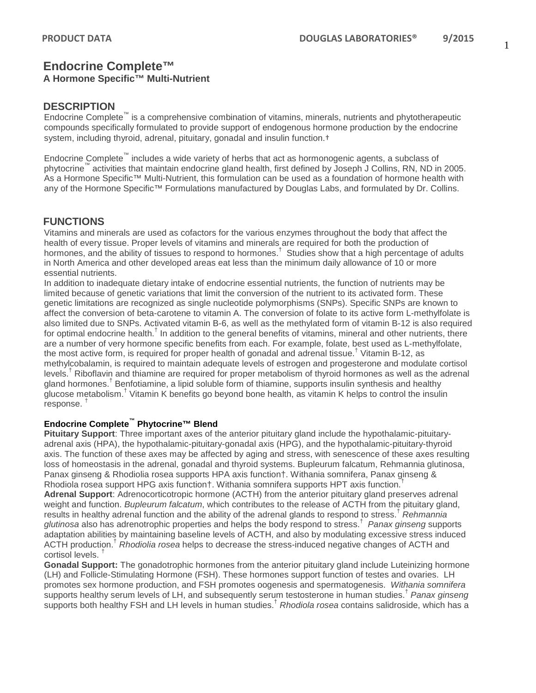#### **A Hormone Specific™ Multi-Nutrient**

#### **DESCRIPTION**

Endocrine Complete™ is a comprehensive combination of vitamins, minerals, nutrients and phytotherapeutic compounds specifically formulated to provide support of endogenous hormone production by the endocrine system, including thyroid, adrenal, pituitary, gonadal and insulin function.†

Endocrine Complete™ includes a wide variety of herbs that act as hormonogenic agents, a subclass of phytocrine™ activities that maintain endocrine gland health, first defined by Joseph J Collins, RN, ND in 2005. As a Hormone Specific™ Multi-Nutrient, this formulation can be used as a foundation of hormone health with any of the Hormone Specific™ Formulations manufactured by Douglas Labs, and formulated by Dr. Collins.

### **FUNCTIONS**

Vitamins and minerals are used as cofactors for the various enzymes throughout the body that affect the health of every tissue. Proper levels of vitamins and minerals are required for both the production of hormones, and the ability of tissues to respond to hormones.<sup>†</sup> Studies show that a high percentage of adults in North America and other developed areas eat less than the minimum daily allowance of 10 or more essential nutrients.

In addition to inadequate dietary intake of endocrine essential nutrients, the function of nutrients may be limited because of genetic variations that limit the conversion of the nutrient to its activated form. These genetic limitations are recognized as single nucleotide polymorphisms (SNPs). Specific SNPs are known to affect the conversion of beta-carotene to vitamin A. The conversion of folate to its active form L-methylfolate is also limited due to SNPs. Activated vitamin B-6, as well as the methylated form of vitamin B-12 is also required for optimal endocrine health.<sup>†</sup> In addition to the general benefits of vitamins, mineral and other nutrients, there are a number of very hormone specific benefits from each. For example, folate, best used as L-methylfolate, the most active form, is required for proper health of gonadal and adrenal tissue. † Vitamin B-12, as methylcobalamin, is required to maintain adequate levels of estrogen and progesterone and modulate cortisol levels. † Riboflavin and thiamine are required for proper metabolism of thyroid hormones as well as the adrenal gland hormones.<sup>†</sup> Benfotiamine, a lipid soluble form of thiamine, supports insulin synthesis and healthy glucose metabolism.† Vitamin K benefits go beyond bone health, as vitamin K helps to control the insulin response. †

#### **Endocrine Complete™ Phytocrine™ Blend**

**Pituitary Support**: Three important axes of the anterior pituitary gland include the hypothalamic-pituitaryadrenal axis (HPA), the hypothalamic-pituitary-gonadal axis (HPG), and the hypothalamic-pituitary-thyroid axis. The function of these axes may be affected by aging and stress, with senescence of these axes resulting loss of homeostasis in the adrenal, gonadal and thyroid systems. Bupleurum falcatum, Rehmannia glutinosa, Panax ginseng & Rhodiolia rosea supports HPA axis function†. Withania somnifera, Panax ginseng & Rhodiola rosea support HPG axis function†. Withania somnifera supports HPT axis function.<sup>†</sup> **Adrenal Support**: Adrenocorticotropic hormone (ACTH) from the anterior pituitary gland preserves adrenal weight and function. *Bupleurum falcatum*, which contributes to the release of ACTH from the pituitary gland, results in healthy adrenal function and the ability of the adrenal glands to respond to stress.† *Rehmannia glutinosa* also has adrenotrophic properties and helps the body respond to stress.† *Panax ginseng* supports adaptation abilities by maintaining baseline levels of ACTH, and also by modulating excessive stress induced ACTH production.† *Rhodiolia rosea* helps to decrease the stress-induced negative changes of ACTH and cortisol levels.<sup>1</sup>

**Gonadal Support:** The gonadotrophic hormones from the anterior pituitary gland include Luteinizing hormone (LH) and Follicle-Stimulating Hormone (FSH). These hormones support function of testes and ovaries. LH promotes sex hormone production, and FSH promotes oogenesis and spermatogenesis. *Withania somnifera*  supports healthy serum levels of LH, and subsequently serum testosterone in human studies.† *Panax ginseng* supports both healthy FSH and LH levels in human studies.† *Rhodiola rosea* contains salidroside, which has a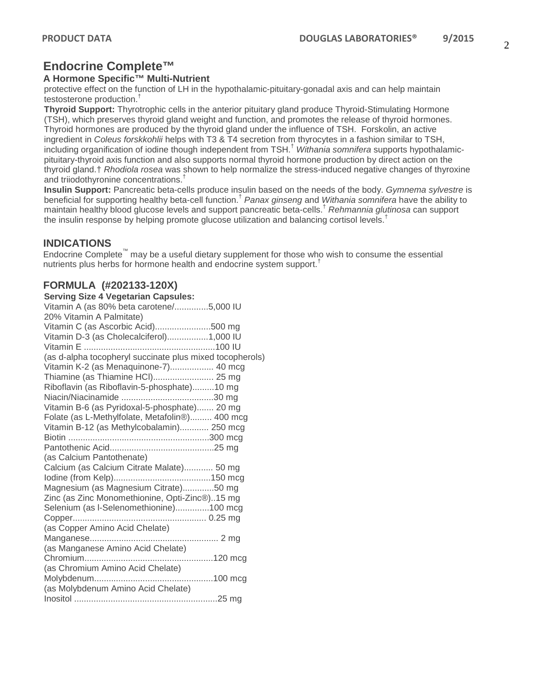#### **A Hormone Specific™ Multi-Nutrient**

protective effect on the function of LH in the hypothalamic-pituitary-gonadal axis and can help maintain testosterone production.†

**Thyroid Support:** Thyrotrophic cells in the anterior pituitary gland produce Thyroid-Stimulating Hormone (TSH), which preserves thyroid gland weight and function, and promotes the release of thyroid hormones. Thyroid hormones are produced by the thyroid gland under the influence of TSH. Forskolin, an active ingredient in *Coleus forskkohlii* helps with T3 & T4 secretion from thyrocytes in a fashion similar to TSH, including organification of iodine though independent from TSH.† *Withania somnifera* supports hypothalamicpituitary-thyroid axis function and also supports normal thyroid hormone production by direct action on the thyroid gland.† *Rhodiola rosea* was shown to help normalize the stress-induced negative changes of thyroxine and triiodothyronine concentrations.†

**Insulin Support:** Pancreatic beta-cells produce insulin based on the needs of the body. *Gymnema sylvestre* is beneficial for supporting healthy beta-cell function.† *Panax ginseng* and *Withania somnifera* have the ability to maintain healthy blood glucose levels and support pancreatic beta-cells.† *Rehmannia glutinosa* can support the insulin response by helping promote glucose utilization and balancing cortisol levels.<sup>†</sup>

#### **INDICATIONS**

Endocrine Complete™ may be a useful dietary supplement for those who wish to consume the essential nutrients plus herbs for hormone health and endocrine system support.<sup>†</sup>

### **FORMULA (#202133-120X)**

| <b>Serving Size 4 Vegetarian Capsules:</b>               |  |
|----------------------------------------------------------|--|
| Vitamin A (as 80% beta carotene/5,000 IU                 |  |
| 20% Vitamin A Palmitate)                                 |  |
| Vitamin C (as Ascorbic Acid)500 mg                       |  |
| Vitamin D-3 (as Cholecalciferol)1,000 IU                 |  |
|                                                          |  |
| (as d-alpha tocopheryl succinate plus mixed tocopherols) |  |
| Vitamin K-2 (as Menaquinone-7) 40 mcg                    |  |
|                                                          |  |
| Riboflavin (as Riboflavin-5-phosphate)10 mg              |  |
|                                                          |  |
| Vitamin B-6 (as Pyridoxal-5-phosphate) 20 mg             |  |
| Folate (as L-Methylfolate, Metafolin®) 400 mcg           |  |
| Vitamin B-12 (as Methylcobalamin) 250 mcg                |  |
|                                                          |  |
|                                                          |  |
| (as Calcium Pantothenate)                                |  |
| Calcium (as Calcium Citrate Malate) 50 mg                |  |
|                                                          |  |
| Magnesium (as Magnesium Citrate)50 mg                    |  |
| Zinc (as Zinc Monomethionine, Opti-Zinc®)15 mg           |  |
| Selenium (as I-Selenomethionine)100 mcg                  |  |
|                                                          |  |
| (as Copper Amino Acid Chelate)                           |  |
|                                                          |  |
| (as Manganese Amino Acid Chelate)                        |  |
|                                                          |  |
| (as Chromium Amino Acid Chelate)                         |  |
|                                                          |  |
| (as Molybdenum Amino Acid Chelate)                       |  |
|                                                          |  |
|                                                          |  |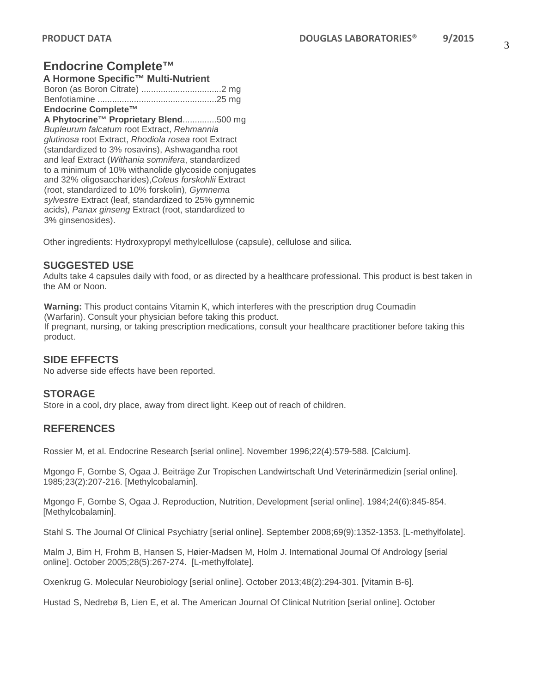#### **A Hormone Specific™ Multi-Nutrient**

| Endocrine Complete™ |  |
|---------------------|--|
|                     |  |
|                     |  |

**A Phytocrine™ Proprietary Blend**..............500 mg *Bupleurum falcatum* root Extract, *Rehmannia glutinosa* root Extract, *Rhodiola rosea* root Extract (standardized to 3% rosavins), Ashwagandha root and leaf Extract (*Withania somnifera*, standardized to a minimum of 10% withanolide glycoside conjugates and 32% oligosaccharides),*Coleus forskohlii* Extract (root, standardized to 10% forskolin), *Gymnema sylvestre* Extract (leaf, standardized to 25% gymnemic acids), *Panax ginseng* Extract (root, standardized to 3% ginsenosides).

Other ingredients: Hydroxypropyl methylcellulose (capsule), cellulose and silica.

## **SUGGESTED USE**

Adults take 4 capsules daily with food, or as directed by a healthcare professional. This product is best taken in the AM or Noon.

**Warning:** This product contains Vitamin K, which interferes with the prescription drug Coumadin (Warfarin). Consult your physician before taking this product. If pregnant, nursing, or taking prescription medications, consult your healthcare practitioner before taking this product.

## **SIDE EFFECTS**

No adverse side effects have been reported.

## **STORAGE**

Store in a cool, dry place, away from direct light. Keep out of reach of children.

## **REFERENCES**

Rossier M, et al. Endocrine Research [serial online]. November 1996;22(4):579-588. [Calcium].

Mgongo F, Gombe S, Ogaa J. Beiträge Zur Tropischen Landwirtschaft Und Veterinärmedizin [serial online]. 1985;23(2):207-216. [Methylcobalamin].

Mgongo F, Gombe S, Ogaa J. Reproduction, Nutrition, Development [serial online]. 1984;24(6):845-854. [Methylcobalamin].

Stahl S. The Journal Of Clinical Psychiatry [serial online]. September 2008;69(9):1352-1353. [L-methylfolate].

Malm J, Birn H, Frohm B, Hansen S, Høier-Madsen M, Holm J. International Journal Of Andrology [serial online]. October 2005;28(5):267-274. [L-methylfolate].

Oxenkrug G. Molecular Neurobiology [serial online]. October 2013;48(2):294-301. [Vitamin B-6].

Hustad S, Nedrebø B, Lien E, et al. The American Journal Of Clinical Nutrition [serial online]. October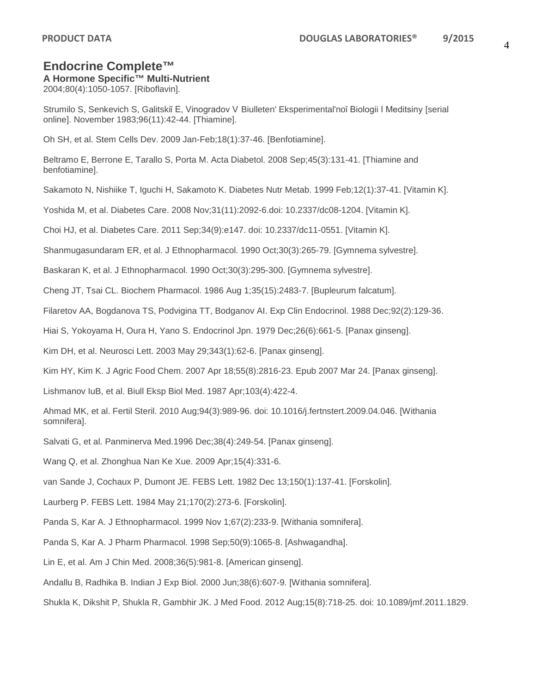### **A Hormone Specific™ Multi-Nutrient**

2004;80(4):1050-1057. [Riboflavin].

Strumilo S, Senkevich S, Galitskiĭ E, Vinogradov V Biulleten' Eksperimental'noĭ Biologii I Meditsiny [serial online]. November 1983;96(11):42-44. [Thiamine].

Oh SH, et al. Stem Cells Dev. 2009 Jan-Feb;18(1):37-46. [Benfotiamine].

Beltramo E, Berrone E, Tarallo S, Porta M. Acta Diabetol. 2008 Sep;45(3):131-41. [Thiamine and benfotiamine].

Sakamoto N, Nishiike T, Iguchi H, Sakamoto K. Diabetes Nutr Metab. 1999 Feb;12(1):37-41. [Vitamin K].

Yoshida M, et al. Diabetes Care. 2008 Nov;31(11):2092-6.doi: 10.2337/dc08-1204. [Vitamin K].

Choi HJ, et al. Diabetes Care. 2011 Sep;34(9):e147. doi: 10.2337/dc11-0551. [Vitamin K].

Shanmugasundaram ER, et al. J Ethnopharmacol. 1990 Oct;30(3):265-79. [Gymnema sylvestre].

Baskaran K, et al. J Ethnopharmacol. 1990 Oct;30(3):295-300. [Gymnema sylvestre].

Cheng JT, Tsai CL. Biochem Pharmacol. 1986 Aug 1;35(15):2483-7. [Bupleurum falcatum].

Filaretov AA, Bogdanova TS, Podvigina TT, Bodganov AI. Exp Clin Endocrinol. 1988 Dec;92(2):129-36.

Hiai S, Yokoyama H, Oura H, Yano S. Endocrinol Jpn. 1979 Dec;26(6):661-5. [Panax ginseng].

Kim DH, et al. Neurosci Lett. 2003 May 29;343(1):62-6. [Panax ginseng].

Kim HY, Kim K. J Agric Food Chem. 2007 Apr 18;55(8):2816-23. Epub 2007 Mar 24. [Panax ginseng].

Lishmanov IuB, et al. Biull Eksp Biol Med. 1987 Apr;103(4):422-4.

Ahmad MK, et al. Fertil Steril. 2010 Aug;94(3):989-96. doi: 10.1016/j.fertnstert.2009.04.046. [Withania somnifera].

Salvati G, et al. Panminerva Med.1996 Dec;38(4):249-54. [Panax ginseng].

Wang Q, et al. Zhonghua Nan Ke Xue. 2009 Apr;15(4):331-6.

van Sande J, Cochaux P, Dumont JE. FEBS Lett. 1982 Dec 13;150(1):137-41. [Forskolin].

Laurberg P. FEBS Lett. 1984 May 21;170(2):273-6. [Forskolin].

Panda S, Kar A. J Ethnopharmacol. 1999 Nov 1;67(2):233-9. [Withania somnifera].

Panda S, Kar A. J Pharm Pharmacol. 1998 Sep;50(9):1065-8. [Ashwagandha].

Lin E, et al. Am J Chin Med. 2008;36(5):981-8. [American ginseng].

Andallu B, Radhika B. Indian J Exp Biol. 2000 Jun;38(6):607-9. [Withania somnifera].

Shukla K, Dikshit P, Shukla R, Gambhir JK. J Med Food. 2012 Aug;15(8):718-25. doi: 10.1089/jmf.2011.1829.